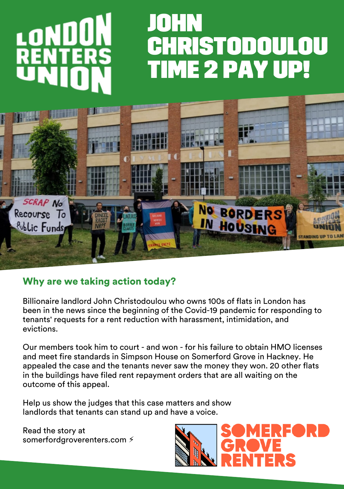

## Why are we taking action today?

Billionaire landlord John Christodoulou who owns 100s of flats in London has been in the news since the beginning of the Covid-19 pandemic for responding to tenants' requests for a rent reduction with harassment, intimidation, and evictions.

Our members took him to court - and won - for his failure to obtain HMO licenses and meet fire standards in Simpson House on Somerford Grove in Hackney. He appealed the case and the tenants never saw the money they won. 20 other flats in the buildings have filed rent repayment orders that are all waiting on the outcome of this appeal.

Help us show the judges that this case matters and show landlords that tenants can stand up and have a voice.

Read the story at somerfordgroverenters.com  $\frac{2}{3}$